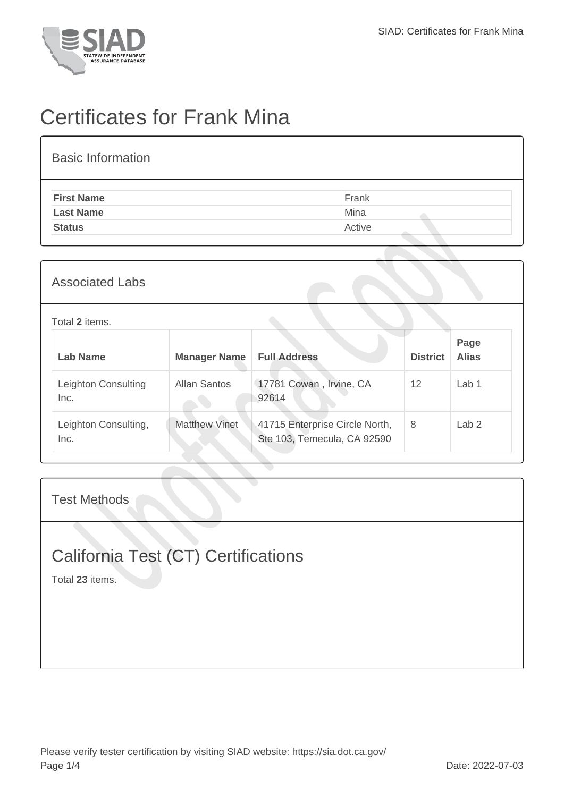

## Certificates for Frank Mina

| <b>Basic Information</b> |        |
|--------------------------|--------|
| <b>First Name</b>        | Frank  |
| <b>Last Name</b>         | Mina   |
| <b>Status</b>            | Active |
|                          |        |

| <b>Associated Labs</b>       |                      |                                                               |                 |                      |
|------------------------------|----------------------|---------------------------------------------------------------|-----------------|----------------------|
| Total 2 items.               |                      |                                                               |                 |                      |
| Lab Name                     | <b>Manager Name</b>  | <b>Full Address</b>                                           | <b>District</b> | Page<br><b>Alias</b> |
| Leighton Consulting<br>Inc.  | Allan Santos         | 17781 Cowan, Irvine, CA<br>92614                              | 12              | Lab <sub>1</sub>     |
| Leighton Consulting,<br>Inc. | <b>Matthew Vinet</b> | 41715 Enterprise Circle North,<br>Ste 103, Temecula, CA 92590 | 8               | Lab <sub>2</sub>     |

Test Methods

## California Test (CT) Certifications

Total **23** items.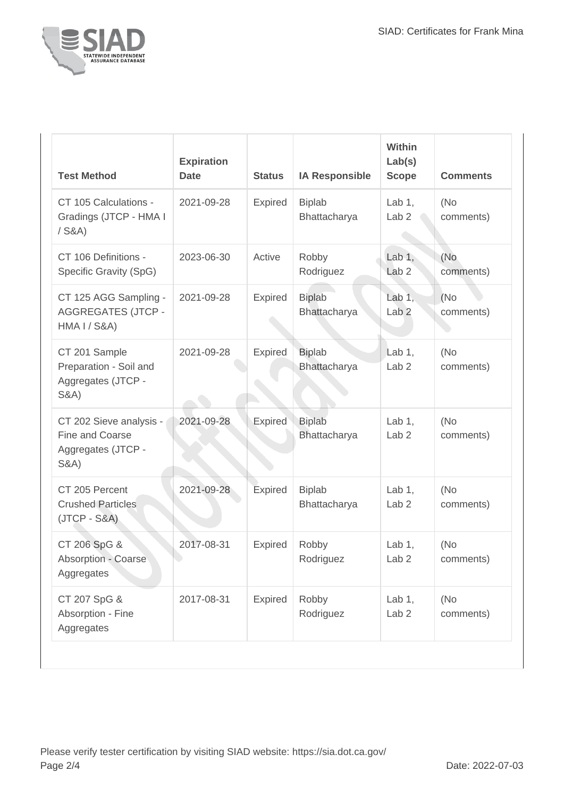

| <b>Test Method</b>                                                                  | <b>Expiration</b><br><b>Date</b> | <b>Status</b>  | <b>IA Responsible</b>         | Within<br>Lab(s)<br><b>Scope</b> | <b>Comments</b>   |
|-------------------------------------------------------------------------------------|----------------------------------|----------------|-------------------------------|----------------------------------|-------------------|
| CT 105 Calculations -<br>Gradings (JTCP - HMA I<br>$/$ S&A)                         | 2021-09-28                       | Expired        | <b>Biplab</b><br>Bhattacharya | Lab $1,$<br>Lab <sub>2</sub>     | (No<br>comments)  |
| CT 106 Definitions -<br>Specific Gravity (SpG)                                      | 2023-06-30                       | Active         | Robby<br>Rodriguez            | Lab $1,$<br>Lab <sub>2</sub>     | (No.<br>comments) |
| CT 125 AGG Sampling -<br><b>AGGREGATES (JTCP -</b><br><b>HMA I / S&amp;A)</b>       | 2021-09-28                       | Expired        | <b>Biplab</b><br>Bhattacharya | Lab $1$ ,<br>Lab <sub>2</sub>    | (No<br>comments)  |
| CT 201 Sample<br>Preparation - Soil and<br>Aggregates (JTCP -<br><b>S&amp;A)</b>    | 2021-09-28                       | Expired        | <b>Biplab</b><br>Bhattacharya | Lab $1,$<br>Lab <sub>2</sub>     | (No<br>comments)  |
| CT 202 Sieve analysis -<br>Fine and Coarse<br>Aggregates (JTCP -<br><b>S&amp;A)</b> | 2021-09-28                       | <b>Expired</b> | <b>Biplab</b><br>Bhattacharya | Lab $1,$<br>Lab <sub>2</sub>     | (No<br>comments)  |
| CT 205 Percent<br><b>Crushed Particles</b><br>$(JTCP - S&A)$                        | 2021-09-28                       | Expired        | <b>Biplab</b><br>Bhattacharya | Lab $1,$<br>Lab <sub>2</sub>     | (No<br>comments)  |
| CT 206 SpG &<br>Absorption - Coarse<br>Aggregates                                   | 2017-08-31                       | Expired        | Robby<br>Rodriguez            | Lab $1,$<br>Lab <sub>2</sub>     | (No<br>comments)  |
| CT 207 SpG &<br>Absorption - Fine<br>Aggregates                                     | 2017-08-31                       | Expired        | Robby<br>Rodriguez            | Lab $1,$<br>Lab <sub>2</sub>     | (No<br>comments)  |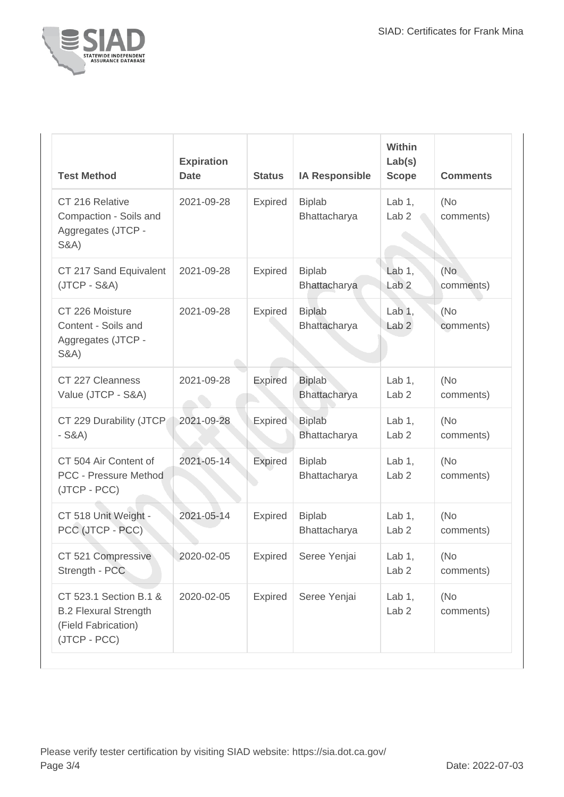

| <b>Test Method</b>                                                                            | <b>Expiration</b><br><b>Date</b> | <b>Status</b>  | <b>IA Responsible</b>         | Within<br>Lab(s)<br><b>Scope</b> | <b>Comments</b>   |
|-----------------------------------------------------------------------------------------------|----------------------------------|----------------|-------------------------------|----------------------------------|-------------------|
| CT 216 Relative<br>Compaction - Soils and<br>Aggregates (JTCP -<br><b>S&amp;A)</b>            | 2021-09-28                       | Expired        | <b>Biplab</b><br>Bhattacharya | Lab $1$ ,<br>Lab <sub>2</sub>    | (No)<br>comments) |
| CT 217 Sand Equivalent<br>(JTCP - S&A)                                                        | 2021-09-28                       | Expired        | <b>Biplab</b><br>Bhattacharya | Lab $1$ ,<br>Lab <sub>2</sub>    | (No<br>comments)  |
| CT 226 Moisture<br>Content - Soils and<br>Aggregates (JTCP -<br><b>S&amp;A)</b>               | 2021-09-28                       | Expired        | <b>Biplab</b><br>Bhattacharya | Lab $1,$<br>Lab <sub>2</sub>     | (No)<br>comments) |
| CT 227 Cleanness<br>Value (JTCP - S&A)                                                        | 2021-09-28                       | <b>Expired</b> | <b>Biplab</b><br>Bhattacharya | Lab $1,$<br>Lab <sub>2</sub>     | (No<br>comments)  |
| CT 229 Durability (JTCP<br>$-S&A)$                                                            | 2021-09-28                       | <b>Expired</b> | <b>Biplab</b><br>Bhattacharya | Lab $1$ ,<br>Lab <sub>2</sub>    | (No)<br>comments) |
| CT 504 Air Content of<br>PCC - Pressure Method<br>(JTCP - PCC)                                | 2021-05-14                       | <b>Expired</b> | <b>Biplab</b><br>Bhattacharya | Lab $1$ ,<br>Lab <sub>2</sub>    | (No)<br>comments) |
| CT 518 Unit Weight -<br>PCC (JTCP - PCC)                                                      | 2021-05-14                       | Expired        | <b>Biplab</b><br>Bhattacharya | Lab $1$ ,<br>Lab <sub>2</sub>    | (No<br>comments)  |
| CT 521 Compressive<br>Strength - PCC                                                          | 2020-02-05                       | Expired        | Seree Yenjai                  | Lab $1,$<br>Lab <sub>2</sub>     | (No<br>comments)  |
| CT 523.1 Section B.1 &<br><b>B.2 Flexural Strength</b><br>(Field Fabrication)<br>(JTCP - PCC) | 2020-02-05                       | <b>Expired</b> | Seree Yenjai                  | Lab $1$ ,<br>Lab <sub>2</sub>    | (No)<br>comments) |